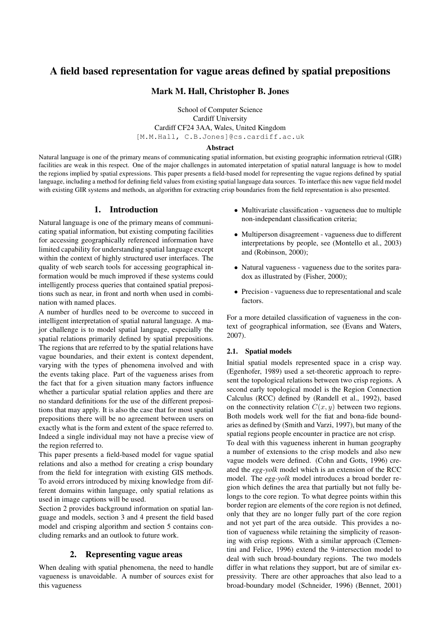# A field based representation for vague areas defined by spatial prepositions

## Mark M. Hall, Christopher B. Jones

School of Computer Science Cardiff University Cardiff CF24 3AA, Wales, United Kingdom [M.M.Hall, C.B.Jones]@cs.cardiff.ac.uk

#### Abstract

Natural language is one of the primary means of communicating spatial information, but existing geographic information retrieval (GIR) facilities are weak in this respect. One of the major challenges in automated interpetation of spatial natural language is how to model the regions implied by spatial expressions. This paper presents a field-based model for representing the vague regions defined by spatial language, including a method for defining field values from existing spatial language data sources. To interface this new vague field model with existing GIR systems and methods, an algorithm for extracting crisp boundaries from the field representation is also presented.

## 1. Introduction

Natural language is one of the primary means of communicating spatial information, but existing computing facilities for accessing geographically referenced information have limited capability for understanding spatial language except within the context of highly structured user interfaces. The quality of web search tools for accessing geographical information would be much improved if these systems could intelligently process queries that contained spatial prepositions such as near, in front and north when used in combination with named places.

A number of hurdles need to be overcome to succeed in intelligent interpretation of spatial natural language. A major challenge is to model spatial language, especially the spatial relations primarily defined by spatial prepositions. The regions that are referred to by the spatial relations have vague boundaries, and their extent is context dependent, varying with the types of phenomena involved and with the events taking place. Part of the vagueness arises from the fact that for a given situation many factors influence whether a particular spatial relation applies and there are no standard definitions for the use of the different prepositions that may apply. It is also the case that for most spatial prepositions there will be no agreement between users on exactly what is the form and extent of the space referred to. Indeed a single individual may not have a precise view of the region referred to.

This paper presents a field-based model for vague spatial relations and also a method for creating a crisp boundary from the field for integration with existing GIS methods. To avoid errors introduced by mixing knowledge from different domains within language, only spatial relations as used in image captions will be used.

Section 2 provides background information on spatial language and models, section 3 and 4 present the field based model and crisping algorithm and section 5 contains concluding remarks and an outlook to future work.

### 2. Representing vague areas

When dealing with spatial phenomena, the need to handle vagueness is unavoidable. A number of sources exist for this vagueness

- Multivariate classification vagueness due to multiple non-independant classification criteria;
- Multiperson disagreement vagueness due to different interpretations by people, see (Montello et al., 2003) and (Robinson, 2000);
- Natural vagueness vagueness due to the sorites paradox as illustrated by (Fisher, 2000);
- Precision vagueness due to representational and scale factors.

For a more detailed classification of vagueness in the context of geographical information, see (Evans and Waters, 2007).

#### 2.1. Spatial models

Initial spatial models represented space in a crisp way. (Egenhofer, 1989) used a set-theoretic approach to represent the topological relations between two crisp regions. A second early topological model is the Region Connection Calculus (RCC) defined by (Randell et al., 1992), based on the connectivity relation  $C(x, y)$  between two regions. Both models work well for the fiat and bona-fide boundaries as defined by (Smith and Varzi, 1997), but many of the spatial regions people encounter in practice are not crisp.

To deal with this vagueness inherent in human geography a number of extensions to the crisp models and also new vague models were defined. (Cohn and Gotts, 1996) created the *egg-yolk* model which is an extension of the RCC model. The *egg-yolk* model introduces a broad border region which defines the area that partially but not fully belongs to the core region. To what degree points within this border region are elements of the core region is not defined, only that they are no longer fully part of the core region and not yet part of the area outside. This provides a notion of vagueness while retaining the simplicity of reasoning with crisp regions. With a similar approach (Clementini and Felice, 1996) extend the 9-intersection model to deal with such broad-boundary regions. The two models differ in what relations they support, but are of similar expressivity. There are other approaches that also lead to a broad-boundary model (Schneider, 1996) (Bennet, 2001)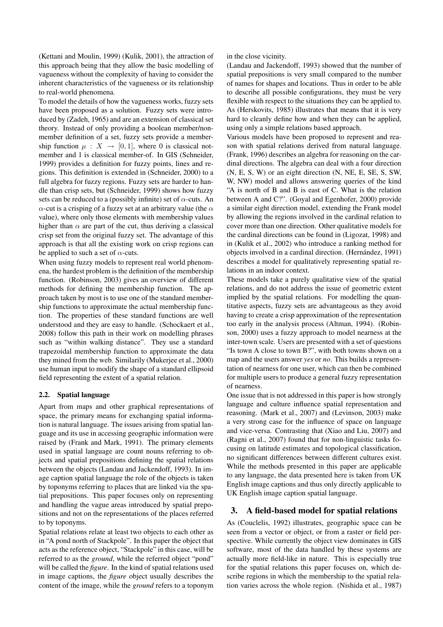(Kettani and Moulin, 1999) (Kulik, 2001), the attraction of this approach being that they allow the basic modelling of vagueness without the complexity of having to consider the inherent characteristics of the vagueness or its relationship to real-world phenomena.

To model the details of how the vagueness works, fuzzy sets have been proposed as a solution. Fuzzy sets were introduced by (Zadeh, 1965) and are an extension of classical set theory. Instead of only providing a boolean member/nonmember definition of a set, fuzzy sets provide a membership function  $\mu : X \to [0,1]$ , where 0 is classical notmember and 1 is classical member-of. In GIS (Schneider, 1999) provides a definition for fuzzy points, lines and regions. This definition is extended in (Schneider, 2000) to a full algebra for fuzzy regions. Fuzzy sets are harder to handle than crisp sets, but (Schneider, 1999) shows how fuzzy sets can be reduced to a (possibly infinite) set of  $\alpha$ -cuts. An  $\alpha$ -cut is a crisping of a fuzzy set at an arbitrary value (the  $\alpha$ value), where only those elements with membership values higher than  $\alpha$  are part of the cut, thus deriving a classical crisp set from the original fuzzy set. The advantage of this approach is that all the existing work on crisp regions can be applied to such a set of  $\alpha$ -cuts.

When using fuzzy models to represent real world phenomena, the hardest problem is the definition of the membership function. (Robinson, 2003) gives an overview of different methods for defining the membership function. The approach taken by most is to use one of the standard membership functions to approximate the actual membership function. The properties of these standard functions are well understood and they are easy to handle. (Schockaert et al., 2008) follow this path in their work on modelling phrases such as "within walking distance". They use a standard trapezoidal membership function to approximate the data they mined from the web. Similarily (Mukerjee et al., 2000) use human input to modify the shape of a standard ellipsoid field representing the extent of a spatial relation.

#### 2.2. Spatial language

Apart from maps and other graphical representations of space, the primary means for exchanging spatial information is natural language. The issues arising from spatial language and its use in accessing geographic information were raised by (Frank and Mark, 1991). The primary elements used in spatial language are count nouns referring to objects and spatial prepositions defining the spatial relations between the objects (Landau and Jackendoff, 1993). In image caption spatial language the role of the objects is taken by toponyms referring to places that are linked via the spatial prepositions. This paper focuses only on representing and handling the vague areas introduced by spatial prepositions and not on the representations of the places referred to by toponyms.

Spatial relations relate at least two objects to each other as in "A pond north of Stackpole". In this paper the object that acts as the reference object, "Stackpole" in this case, will be referred to as the *ground*, while the referred object "pond" will be called the *figure*. In the kind of spatial relations used in image captions, the *figure* object usually describes the content of the image, while the *ground* refers to a toponym

#### in the close vicinity.

(Landau and Jackendoff, 1993) showed that the number of spatial prepositions is very small compared to the number of names for shapes and locations. Thus in order to be able to describe all possible configurations, they must be very flexible with respect to the situations they can be applied to. As (Herskovits, 1985) illustrates that means that it is very hard to cleanly define how and when they can be applied, using only a simple relations based approach.

Various models have been proposed to represent and reason with spatial relations derived from natural language. (Frank, 1996) describes an algebra for reasoning on the cardinal directions. The algebra can deal with a four direction (N, E, S, W) or an eight direction (N, NE, E, SE, S, SW, W, NW) model and allows answering queries of the kind "A is north of B and B is east of C. What is the relation between A and C?". (Goyal and Egenhofer, 2000) provide a similar eight direction model, extending the Frank model by allowing the regions involved in the cardinal relation to cover more than one direction. Other qualitative models for the cardinal directions can be found in (Ligozat, 1998) and in (Kulik et al., 2002) who introduce a ranking method for objects involved in a cardinal direction. (Hernández, 1991) describes a model for qualitatively representing spatial relations in an indoor context.

These models take a purely qualitative view of the spatial relations, and do not address the issue of geometric extent implied by the spatial relations. For modelling the quantitative aspects, fuzzy sets are advantageous as they avoid having to create a crisp approximation of the representation too early in the analysis process (Altman, 1994). (Robinson, 2000) uses a fuzzy approach to model nearness at the inter-town scale. Users are presented with a set of questions "Is town A close to town B?", with both towns shown on a map and the users answer *yes* or *no*. This builds a representation of nearness for one user, which can then be combined for multiple users to produce a general fuzzy representation of nearness.

One issue that is not addressed in this paper is how strongly language and culture influence spatial representation and reasoning. (Mark et al., 2007) and (Levinson, 2003) make a very strong case for the influence of space on language and vice-versa. Contrasting that (Xiao and Liu, 2007) and (Ragni et al., 2007) found that for non-linguistic tasks focusing on latitude estimates and topological classification, no significant differences between different cultures exist. While the methods presented in this paper are applicable to any language, the data presented here is taken from UK English image captions and thus only directly applicable to UK English image caption spatial language.

## 3. A field-based model for spatial relations

As (Couclelis, 1992) illustrates, geographic space can be seen from a vector or object, or from a raster or field perspective. While currently the object view dominates in GIS software, most of the data handled by these systems are actually more field-like in nature. This is especially true for the spatial relations this paper focuses on, which describe regions in which the membership to the spatial relation varies across the whole region. (Nishida et al., 1987)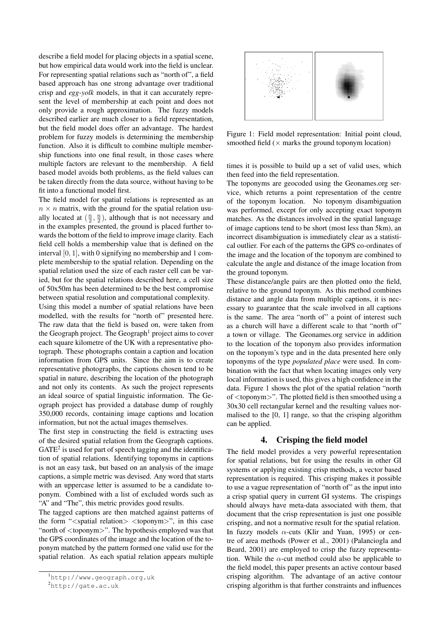describe a field model for placing objects in a spatial scene, but how empirical data would work into the field is unclear. For representing spatial relations such as "north of", a field based approach has one strong advantage over traditional crisp and *egg-yolk* models, in that it can accurately represent the level of membership at each point and does not only provide a rough approximation. The fuzzy models described earlier are much closer to a field representation, but the field model does offer an advantage. The hardest problem for fuzzy models is determining the membership function. Also it is difficult to combine multiple membership functions into one final result, in those cases where multiple factors are relevant to the membership. A field based model avoids both problems, as the field values can be taken directly from the data source, without having to be fit into a functional model first.

The field model for spatial relations is represented as an  $n \times n$  matrix, with the ground for the spatial relation usually located at  $(\frac{n}{2}, \frac{n}{2})$ , although that is not necessary and in the examples presented, the ground is placed further towards the bottom of the field to improve image clarity. Each field cell holds a membership value that is defined on the interval [0, 1], with 0 signifying no membership and 1 complete membership to the spatial relation. Depending on the spatial relation used the size of each raster cell can be varied, but for the spatial relations described here, a cell size of 50x50m has been determined to be the best compromise between spatial resolution and computational complexity.

Using this model a number of spatial relations have been modelled, with the results for "north of" presented here. The raw data that the field is based on, were taken from the Geograph project. The Geograph<sup>1</sup> project aims to cover each square kilometre of the UK with a representative photograph. These photographs contain a caption and location information from GPS units. Since the aim is to create representative photographs, the captions chosen tend to be spatial in nature, describing the location of the photograph and not only its contents. As such the project represents an ideal source of spatial linguistic information. The Geograph project has provided a database dump of roughly 350,000 records, containing image captions and location information, but not the actual images themselves.

The first step in constructing the field is extracting uses of the desired spatial relation from the Geograph captions.  $GATE<sup>2</sup>$  is used for part of speech tagging and the identification of spatial relations. Identifying toponyms in captions is not an easy task, but based on an analysis of the image captions, a simple metric was devised. Any word that starts with an uppercase letter is assumed to be a candidate toponym. Combined with a list of excluded words such as "A" and "The", this metric provides good results.

The tagged captions are then matched against patterns of the form " $\langle$ spatial relation $>$  $\langle$ toponym $>$ ", in this case "north of <toponym>". The hypothesis employed was that the GPS coordinates of the image and the location of the toponym matched by the pattern formed one valid use for the spatial relation. As each spatial relation appears multiple



Figure 1: Field model representation: Initial point cloud, smoothed field  $(\times$  marks the ground toponym location)

times it is possible to build up a set of valid uses, which then feed into the field representation.

The toponyms are geocoded using the Geonames.org service, which returns a point representation of the centre of the toponym location. No toponym disambiguation was performed, except for only accepting exact toponym matches. As the distances involved in the spatial language of image captions tend to be short (most less than 5km), an incorrect disambiguation is immediately clear as a statistical outlier. For each of the patterns the GPS co-ordinates of the image and the location of the toponym are combined to calculate the angle and distance of the image location from the ground toponym.

These distance/angle pairs are then plotted onto the field, relative to the ground toponym. As this method combines distance and angle data from multiple captions, it is necessary to guarantee that the scale involved in all captions is the same. The area "north of" a point of interest such as a church will have a different scale to that "north of" a town or village. The Geonames.org service in addition to the location of the toponym also provides information on the toponym's type and in the data presented here only toponyms of the type *populated place* were used. In combination with the fact that when locating images only very local information is used, this gives a high confidence in the data. Figure 1 shows the plot of the spatial relation "north of <toponym>". The plotted field is then smoothed using a 30x30 cell rectangular kernel and the resulting values normalised to the [0, 1] range, so that the crisping algorithm can be applied.

#### 4. Crisping the field model

The field model provides a very powerful representation for spatial relations, but for using the results in other GI systems or applying existing crisp methods, a vector based representation is required. This crisping makes it possible to use a vague representation of "north of" as the input into a crisp spatial query in current GI systems. The crispings should always have meta-data associated with them, that document that the crisp representation is just one possible crisping, and not a normative result for the spatial relation. In fuzzy models  $\alpha$ -cuts (Klir and Yuan, 1995) or centre of area methods (Power et al., 2001) (Palanciogla and Beard, 2001) are employed to crisp the fuzzy representation. While the  $\alpha$ -cut method could also be applicable to the field model, this paper presents an active contour based crisping algorithm. The advantage of an active contour crisping algorithm is that further constraints and influences

<sup>1</sup>http://www.geograph.org.uk

<sup>2</sup>http://gate.ac.uk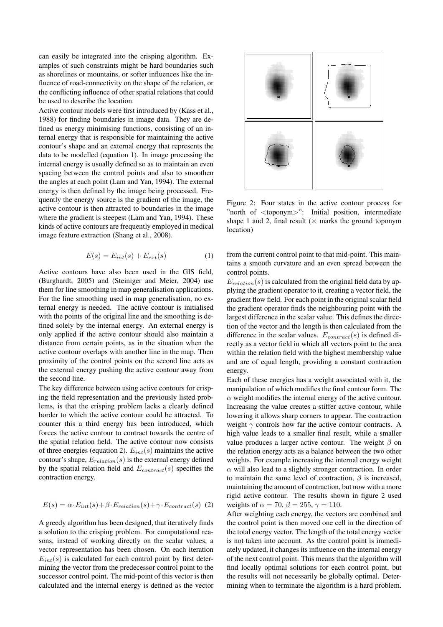can easily be integrated into the crisping algorithm. Examples of such constraints might be hard boundaries such as shorelines or mountains, or softer influences like the influence of road-connectivity on the shape of the relation, or the conflicting influence of other spatial relations that could be used to describe the location.

Active contour models were first introduced by (Kass et al., 1988) for finding boundaries in image data. They are defined as energy minimising functions, consisting of an internal energy that is responsible for maintaining the active contour's shape and an external energy that represents the data to be modelled (equation 1). In image processing the internal energy is usually defined so as to maintain an even spacing between the control points and also to smoothen the angles at each point (Lam and Yan, 1994). The external energy is then defined by the image being processed. Frequently the energy source is the gradient of the image, the active contour is then attracted to boundaries in the image where the gradient is steepest (Lam and Yan, 1994). These kinds of active contours are frequently employed in medical image feature extraction (Shang et al., 2008).

$$
E(s) = E_{int}(s) + E_{ext}(s)
$$
 (1)

Active contours have also been used in the GIS field, (Burghardt, 2005) and (Steiniger and Meier, 2004) use them for line smoothing in map generalisation applications. For the line smoothing used in map generalisation, no external energy is needed. The active contour is initialised with the points of the original line and the smoothing is defined solely by the internal energy. An external energy is only applied if the active contour should also maintain a distance from certain points, as in the situation when the active contour overlaps with another line in the map. Then proximity of the control points on the second line acts as the external energy pushing the active contour away from the second line.

The key difference between using active contours for crisping the field representation and the previously listed problems, is that the crisping problem lacks a clearly defined border to which the active contour could be attracted. To counter this a third energy has been introduced, which forces the active contour to contract towards the centre of the spatial relation field. The active contour now consists of three energies (equation 2).  $E_{int}(s)$  maintains the active contour's shape,  $E_{relation}(s)$  is the external energy defined by the spatial relation field and  $E_{contract}(s)$  specifies the contraction energy.

$$
E(s) = \alpha \cdot E_{int}(s) + \beta \cdot E_{relation}(s) + \gamma \cdot E_{contract}(s)
$$
 (2)

A greedy algorithm has been designed, that iteratively finds a solution to the crisping problem. For computational reasons, instead of working directly on the scalar values, a vector representation has been chosen. On each iteration  $E_{int}(s)$  is calculated for each control point by first determining the vector from the predecessor control point to the successor control point. The mid-point of this vector is then calculated and the internal energy is defined as the vector



Figure 2: Four states in the active contour process for "north of <toponym>": Initial position, intermediate shape 1 and 2, final result ( $\times$  marks the ground toponym location)

from the current control point to that mid-point. This maintains a smooth curvature and an even spread between the control points.

 $E_{relation}(s)$  is calculated from the original field data by applying the gradient operator to it, creating a vector field, the gradient flow field. For each point in the original scalar field the gradient operator finds the neighbouring point with the largest difference in the scalar value. This defines the direction of the vector and the length is then calculated from the difference in the scalar values.  $E_{contract}(s)$  is defined directly as a vector field in which all vectors point to the area within the relation field with the highest membership value and are of equal length, providing a constant contraction energy.

Each of these energies has a weight associated with it, the manipulation of which modifies the final contour form. The  $\alpha$  weight modifies the internal energy of the active contour. Increasing the value creates a stiffer active contour, while lowering it allows sharp corners to appear. The contraction weight  $\gamma$  controls how far the active contour contracts. A high value leads to a smaller final result, while a smaller value produces a larger active contour. The weight  $\beta$  on the relation energy acts as a balance between the two other weights. For example increasing the internal energy weight  $\alpha$  will also lead to a slightly stronger contraction. In order to maintain the same level of contraction,  $\beta$  is increased, maintaining the amount of contraction, but now with a more rigid active contour. The results shown in figure 2 used weights of  $\alpha = 70$ ,  $\beta = 255$ ,  $\gamma = 110$ .

After weighting each energy, the vectors are combined and the control point is then moved one cell in the direction of the total energy vector. The length of the total energy vector is not taken into account. As the control point is immediately updated, it changes its influence on the internal energy of the next control point. This means that the algorithm will find locally optimal solutions for each control point, but the results will not necessarily be globally optimal. Determining when to terminate the algorithm is a hard problem.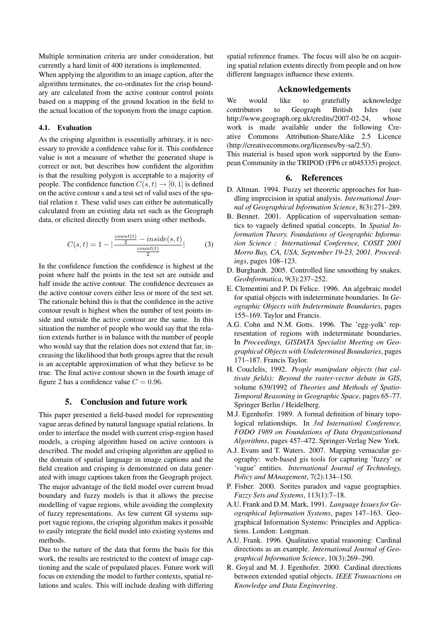Multiple termination criteria are under consideration, but currently a hard limit of 400 iterations is implemented.

When applying the algorithm to an image caption, after the algorithm terminates, the co-ordinates for the crisp boundary are calculated from the active contour control points based on a mapping of the ground location in the field to the actual location of the toponym from the image caption.

#### 4.1. Evaluation

As the crisping algorithm is essentially arbitrary, it is necessary to provide a confidence value for it. This confidence value is not a measure of whether the generated shape is correct or not, but describes how confident the algorithm is that the resulting polygon is acceptable to a majority of people. The confidence function  $C(s, t) \rightarrow [0, 1]$  is defined on the active contour s and a test set of valid uses of the spatial relation r. These valid uses can either be automatically calculated from an existing data set such as the Geograph data, or elicited directly from users using other methods.

$$
C(s,t) = 1 - \left| \frac{\frac{count(t)}{2} - inside(s,t)}{\frac{count(t)}{2}} \right|
$$
 (3)

In the confidence function the confidence is highest at the point where half the points in the test set are outside and half inside the active contour. The confidence decreases as the active contour covers either less or more of the test set. The rationale behind this is that the confidence in the active contour result is highest when the number of test points inside and outside the active contour are the same. In this situation the number of people who would say that the relation extends further is in balance with the number of people who would say that the relation does not extend that far, increasing the likelihood that both groups agree that the result is an acceptable approximation of what they believe to be true. The final active contour shown in the fourth image of figure 2 has a confidence value  $C = 0.96$ .

## 5. Conclusion and future work

This paper presented a field-based model for representing vague areas defined by natural language spatial relations. In order to interface the model with current crisp-region based models, a crisping algorithm based on active contours is described. The model and crisping algorithm are applied to the domain of spatial language in image captions and the field creation and crisping is demonstrated on data generated with image captions taken from the Geograph project. The major advantage of the field model over current broad boundary and fuzzy models is that it allows the precise modelling of vague regions, while avoiding the complexity of fuzzy representations. As few current GI systems support vague regions, the crisping algorithm makes it possible to easily integrate the field model into existing systems and methods.

Due to the nature of the data that forms the basis for this work, the results are restricted to the context of image captioning and the scale of populated places. Future work will focus on extending the model to further contexts, spatial relations and scales. This will include dealing with differing spatial reference frames. The focus will also be on acquiring spatial relation extents directly from people and on how different languages influence these extents.

## Acknowledgements

We would like to gratefully acknowledge contributors to Geograph British Isles (see http://www.geograph.org.uk/credits/2007-02-24, whose work is made available under the following Creative Commons Attribution-ShareAlike 2.5 Licence (http://creativecommons.org/licenses/by-sa/2.5/).

This material is based upon work supported by the European Community in the TRIPOD (FP6 cr n045335) project.

## 6. References

- D. Altman. 1994. Fuzzy set theoretic approaches for handling imprecision in spatial analysis. *International Journal of Geographical Information Science*, 8(3):271–289.
- B. Bennet. 2001. Application of supervaluation semantics to vaguely defined spatial concepts. In *Spatial Information Theory. Foundations of Geographic Information Science : International Conference, COSIT 2001 Morro Bay, CA, USA, September 19-23, 2001. Proceedings*, pages 108–123.
- D. Burghardt. 2005. Controlled line smoothing by snakes. *GeoInformatica*, 9(3):237–252.
- E. Clementini and P. Di Felice. 1996. An algebraic model for spatial objects with indeterminate boundaries. In *Geographic Objects with Indeterminate Boundaries*, pages 155–169. Taylor and Francis.
- A.G. Cohn and N.M. Gotts. 1996. The 'egg-yolk' representation of regions with indeterminate boundaries. In *Proceedings, GISDATA Specialist Meeting on Geographical Objects with Undetermined Boundaries*, pages 171–187. Francis Taylor.
- H. Couclelis, 1992. *People manipulate objects (but cultivate fields): Beyond the raster-vector debate in GIS*, volume 639/1992 of *Theories and Methods of Spatio-Temporal Reasoning in Geographic Space*, pages 65–77. Springer Berlin / Heidelberg.
- M.J. Egenhofer. 1989. A formal definition of binary topological relationships. In *3rd Internationl Conference, FODO 1989 on Foundations of Data Organizationand Algorithms*, pages 457–472. Springer-Verlag New York.
- A.J. Evans and T. Waters. 2007. Mapping vernacular geography: web-based gis tools for capturing 'fuzzy' or 'vague' entities. *International Journal of Technology, Policy and MAnagement*, 7(2):134–150.
- P. Fisher. 2000. Sorites paradox and vague geographies. *Fuzzy Sets and Systems*, 113(1):7–18.
- A.U. Frank and D.M. Mark, 1991. *Language Issues for Geographical Information Systems*, pages 147–163. Geographical Information Systems: Principles and Applications. London: Longman.
- A.U. Frank. 1996. Qualitative spatial reasoning: Cardinal directions as an example. *International Journal of Geographical Information Science*, 10(3):269–290.
- R. Goyal and M. J. Egenhofer. 2000. Cardinal directions between extended spatial objects. *IEEE Transactions on Knowledge and Data Engineering*.